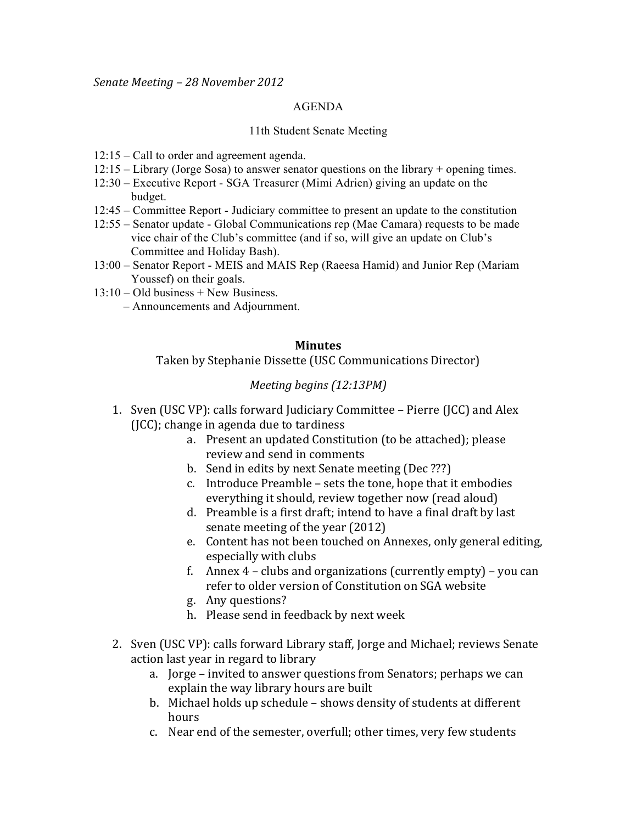## AGENDA

## 11th Student Senate Meeting

- 12:15 Call to order and agreement agenda.
- 12:15 Library (Jorge Sosa) to answer senator questions on the library + opening times.
- 12:30 Executive Report SGA Treasurer (Mimi Adrien) giving an update on the budget.
- 12:45 Committee Report Judiciary committee to present an update to the constitution
- 12:55 Senator update Global Communications rep (Mae Camara) requests to be made vice chair of the Club's committee (and if so, will give an update on Club's Committee and Holiday Bash).
- 13:00 Senator Report MEIS and MAIS Rep (Raeesa Hamid) and Junior Rep (Mariam Youssef) on their goals.
- 13:10 Old business + New Business.
	- Announcements and Adjournment.

## **Minutes**

Taken by Stephanie Dissette (USC Communications Director)

## *Meeting begins (12:13PM)*

- 1. Sven (USC VP): calls forward Judiciary Committee Pierre (JCC) and Alex  $J(ICC)$ ; change in agenda due to tardiness
	- a. Present an updated Constitution (to be attached); please review and send in comments
	- b. Send in edits by next Senate meeting (Dec ???)
	- c. Introduce Preamble sets the tone, hope that it embodies everything it should, review together now (read aloud)
	- d. Preamble is a first draft; intend to have a final draft by last senate meeting of the year (2012)
	- e. Content has not been touched on Annexes, only general editing, especially with clubs
	- f. Annex  $4$  clubs and organizations (currently empty) you can refer to older version of Constitution on SGA website
	- g. Any questions?
	- h. Please send in feedback by next week
- 2. Sven (USC VP): calls forward Library staff, Jorge and Michael; reviews Senate action last year in regard to library
	- a. Jorge invited to answer questions from Senators; perhaps we can explain the way library hours are built
	- b. Michael holds up schedule shows density of students at different hours
	- c. Near end of the semester, overfull; other times, very few students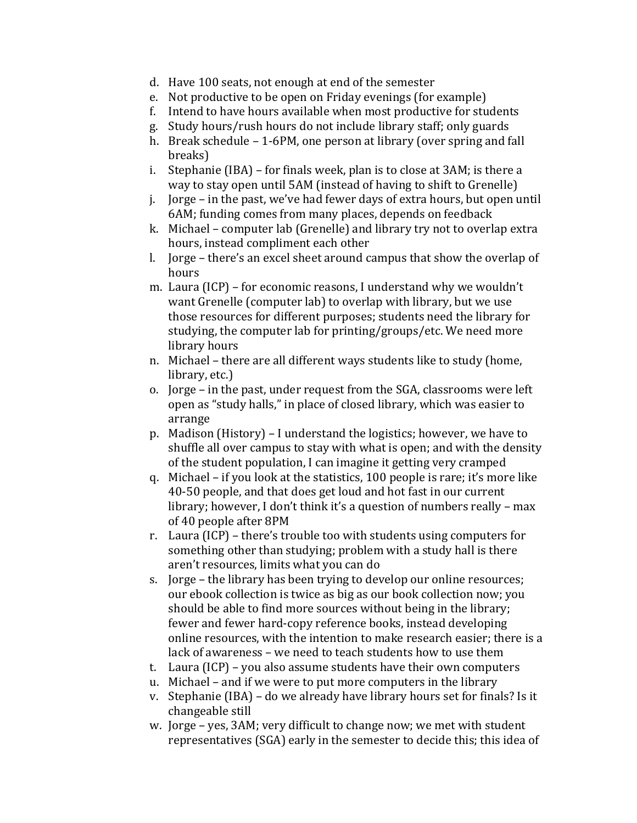- d. Have 100 seats, not enough at end of the semester
- e. Not productive to be open on Friday evenings (for example)
- f. Intend to have hours available when most productive for students
- g. Study hours/rush hours do not include library staff: only guards
- h. Break schedule 1-6PM, one person at library (over spring and fall breaks)
- i. Stephanie (IBA) for finals week, plan is to close at  $3AM$ ; is there a way to stay open until 5AM (instead of having to shift to Grenelle)
- j. Jorge in the past, we've had fewer days of extra hours, but open until 6AM; funding comes from many places, depends on feedback
- k. Michael computer lab (Grenelle) and library try not to overlap extra hours, instead compliment each other
- l. Jorge there's an excel sheet around campus that show the overlap of  $\overline{a}$ hours
- m. Laura (ICP) for economic reasons, I understand why we wouldn't want Grenelle (computer lab) to overlap with library, but we use those resources for different purposes; students need the library for studying, the computer lab for printing/groups/etc. We need more library hours
- n. Michael there are all different ways students like to study (home, library, etc.)
- o. Jorge in the past, under request from the SGA, classrooms were left open as "study halls," in place of closed library, which was easier to arrange
- p. Madison (History) I understand the logistics; however, we have to shuffle all over campus to stay with what is open; and with the density of the student population, I can imagine it getting very cramped
- q. Michael if you look at the statistics,  $100$  people is rare; it's more like 40-50 people, and that does get loud and hot fast in our current library; however, I don't think it's a question of numbers really – max of 40 people after 8PM
- r. Laura (ICP) there's trouble too with students using computers for something other than studying; problem with a study hall is there aren't resources, limits what you can do
- s. Jorge the library has been trying to develop our online resources; our ebook collection is twice as big as our book collection now; you should be able to find more sources without being in the library; fewer and fewer hard-copy reference books, instead developing online resources, with the intention to make research easier; there is a lack of awareness – we need to teach students how to use them
- t. Laura (ICP) you also assume students have their own computers
- u. Michael and if we were to put more computers in the library
- v. Stephanie (IBA) do we already have library hours set for finals? Is it changeable still
- w. Jorge yes, 3AM; very difficult to change now; we met with student representatives (SGA) early in the semester to decide this; this idea of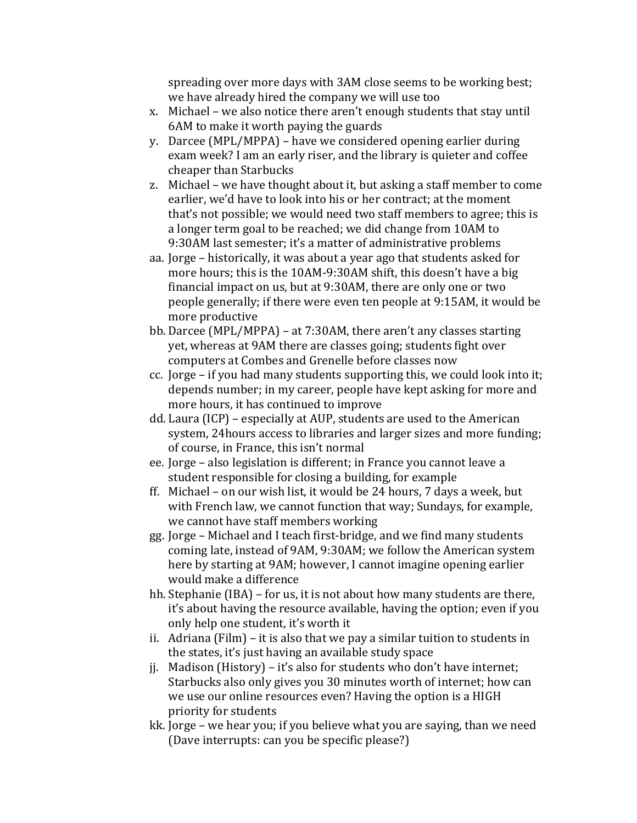spreading over more days with 3AM close seems to be working best; we have already hired the company we will use too

- x. Michael we also notice there aren't enough students that stay until 6AM to make it worth paying the guards
- y. Darcee (MPL/MPPA) have we considered opening earlier during exam week? I am an early riser, and the library is quieter and coffee cheaper than Starbucks
- z. Michael we have thought about it, but asking a staff member to come earlier, we'd have to look into his or her contract; at the moment that's not possible; we would need two staff members to agree; this is a longer term goal to be reached; we did change from 10AM to 9:30AM last semester; it's a matter of administrative problems
- aa. Jorge historically, it was about a year ago that students asked for more hours; this is the 10AM-9:30AM shift, this doesn't have a big financial impact on us, but at  $9:30$ AM, there are only one or two people generally; if there were even ten people at 9:15AM, it would be more productive
- bb. Darcee (MPL/MPPA) at 7:30AM, there aren't any classes starting yet, whereas at 9AM there are classes going; students fight over computers at Combes and Grenelle before classes now
- cc. Jorge if you had many students supporting this, we could look into it; depends number; in my career, people have kept asking for more and more hours, it has continued to improve
- dd. Laura (ICP) especially at AUP, students are used to the American system, 24hours access to libraries and larger sizes and more funding; of course, in France, this isn't normal
- ee. Jorge also legislation is different; in France you cannot leave a student responsible for closing a building, for example
- ff. Michael on our wish list, it would be 24 hours, 7 days a week, but with French law, we cannot function that way; Sundays, for example, we cannot have staff members working
- gg. Jorge Michael and I teach first-bridge, and we find many students coming late, instead of 9AM, 9:30AM; we follow the American system here by starting at 9AM; however, I cannot imagine opening earlier would make a difference
- hh. Stephanie (IBA) for us, it is not about how many students are there, it's about having the resource available, having the option; even if you only help one student, it's worth it
- ii. Adriana (Film) it is also that we pay a similar tuition to students in the states, it's just having an available study space
- jj. Madison (History) it's also for students who don't have internet; Starbucks also only gives you 30 minutes worth of internet; how can we use our online resources even? Having the option is a HIGH priority for students
- kk. Jorge we hear you; if you believe what you are saying, than we need (Dave interrupts: can you be specific please?)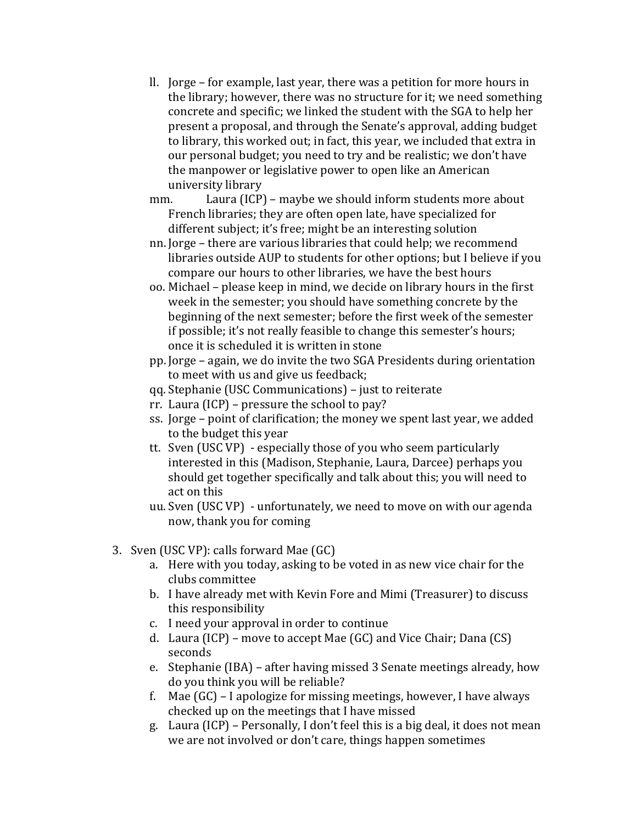- ll. Jorge for example, last year, there was a petition for more hours in  $\blacksquare$ the library; however, there was no structure for it; we need something concrete and specific; we linked the student with the SGA to help her present a proposal, and through the Senate's approval, adding budget to library, this worked out; in fact, this year, we included that extra in our personal budget; you need to try and be realistic; we don't have the manpower or legislative power to open like an American university library
- mm. Laura (ICP) maybe we should inform students more about French libraries; they are often open late, have specialized for different subject; it's free; might be an interesting solution
- nn. Jorge there are various libraries that could help; we recommend libraries outside AUP to students for other options; but I believe if you compare our hours to other libraries, we have the best hours
- oo. Michael please keep in mind, we decide on library hours in the first week in the semester; you should have something concrete by the beginning of the next semester; before the first week of the semester if possible; it's not really feasible to change this semester's hours; once it is scheduled it is written in stone
- pp. Jorge again, we do invite the two SGA Presidents during orientation to meet with us and give us feedback;
- qq. Stephanie (USC Communications) just to reiterate
- rr. Laura (ICP) pressure the school to pay?
- ss. Jorge point of clarification; the money we spent last year, we added to the budget this year
- tt. Sven (USC VP) especially those of you who seem particularly interested in this (Madison, Stephanie, Laura, Darcee) perhaps you should get together specifically and talk about this; you will need to act on this
- uu. Sven (USC VP) unfortunately, we need to move on with our agenda now, thank you for coming
- 3. Sven (USC VP): calls forward Mae  $(GC)$ 
	- a. Here with you today, asking to be voted in as new vice chair for the clubs!committee
	- b. I have already met with Kevin Fore and Mimi (Treasurer) to discuss this responsibility
	- c. I need your approval in order to continue
	- d. Laura (ICP) move to accept Mae (GC) and Vice Chair; Dana (CS) seconds
	- e. Stephanie (IBA) after having missed 3 Senate meetings already, how do you think you will be reliable?
	- f. Mae  $(GC)$  I apologize for missing meetings, however, I have always checked up on the meetings that I have missed
	- g. Laura (ICP) Personally, I don't feel this is a big deal, it does not mean we are not involved or don't care, things happen sometimes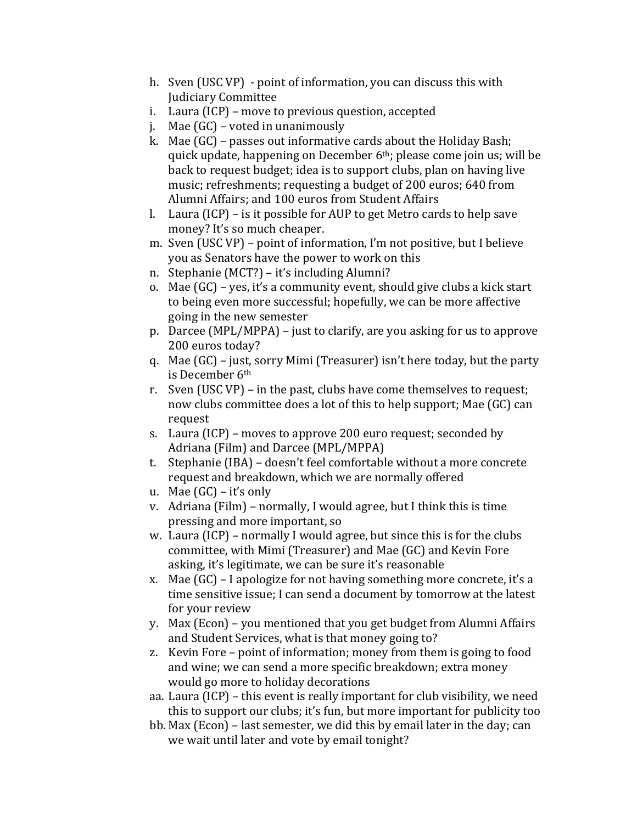- h. Sven (USC VP) point of information, you can discuss this with  $\frac{1}{2}$ Judiciary!Committee
- i. Laura (ICP) move to previous question, accepted
- j. Mae  $(GC)$  voted in unanimously
- k. Mae  $(GC)$  passes out informative cards about the Holiday Bash; quick update, happening on December 6<sup>th</sup>; please come join us; will be back to request budget; idea is to support clubs, plan on having live music; refreshments; requesting a budget of 200 euros; 640 from Alumni Affairs; and 100 euros from Student Affairs
- l. Laura (ICP) is it possible for AUP to get Metro cards to help save money? It's so much cheaper.
- m. Sven (USC VP) point of information, I'm not positive, but I believe you as Senators have the power to work on this
- n. Stephanie (MCT?) it's including Alumni?
- o. Mae (GC) yes, it's a community event, should give clubs a kick start to being even more successful; hopefully, we can be more affective going in the new semester
- p. Darcee (MPL/MPPA) just to clarify, are you asking for us to approve 200 euros today?
- q. Mae  $(GC)$  just, sorry Mimi (Treasurer) isn't here today, but the party is December 6th
- r. Sven (USC VP) in the past, clubs have come themselves to request; now clubs committee does a lot of this to help support; Mae (GC) can request
- s. Laura (ICP) moves to approve 200 euro request; seconded by Adriana (Film) and Darcee (MPL/MPPA)
- t. Stephanie (IBA) doesn't feel comfortable without a more concrete request and breakdown, which we are normally offered
- u. Mae  $(GC)$  it's only
- v. Adriana (Film) normally, I would agree, but I think this is time pressing and more important, so
- w. Laura (ICP) normally I would agree, but since this is for the clubs committee, with Mimi (Treasurer) and Mae (GC) and Kevin Fore asking, it's legitimate, we can be sure it's reasonable
- x. Mae  $(GC)$  I apologize for not having something more concrete, it's a time sensitive issue; I can send a document by tomorrow at the latest for your review
- y. Max (Econ) you mentioned that you get budget from Alumni Affairs and Student Services, what is that money going to?
- z. Kevin Fore point of information; money from them is going to food and wine; we can send a more specific breakdown; extra money would go more to holiday decorations
- aa. Laura (ICP) this event is really important for club visibility, we need this to support our clubs; it's fun, but more important for publicity too
- bb. Max (Econ) last semester, we did this by email later in the day; can we wait until later and vote by email tonight?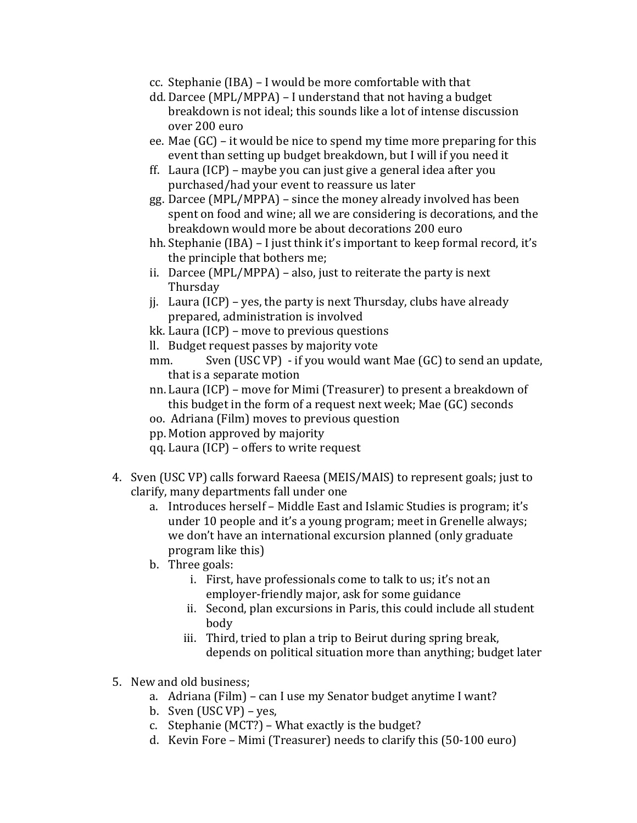- cc. Stephanie (IBA) I would be more comfortable with that
- dd. Darcee (MPL/MPPA) I understand that not having a budget breakdown is not ideal; this sounds like a lot of intense discussion over 200 euro
- ee. Mae  $(GC)$  it would be nice to spend my time more preparing for this event than setting up budget breakdown, but I will if you need it
- ff. Laura (ICP) maybe you can just give a general idea after you purchased/had your event to reassure us later
- gg. Darcee (MPL/MPPA) since the money already involved has been spent on food and wine; all we are considering is decorations, and the breakdown would more be about decorations 200 euro
- hh. Stephanie (IBA) I just think it's important to keep formal record, it's the principle that bothers me;
- ii. Darcee (MPL/MPPA) also, just to reiterate the party is next **Thursday**
- ji. Laura (ICP) yes, the party is next Thursday, clubs have already prepared, administration is involved
- kk. Laura (ICP) move to previous questions
- ll. Budget request passes by majority vote
- mm. Sven (USC VP) if you would want Mae  $(GC)$  to send an update, that is a separate motion
- nn. Laura (ICP) move for Mimi (Treasurer) to present a breakdown of this budget in the form of a request next week; Mae (GC) seconds
- oo. Adriana (Film) moves to previous question
- pp. Motion approved by majority
- qq. Laura (ICP) offers to write request
- 4. Sven (USC VP) calls forward Raeesa (MEIS/MAIS) to represent goals; just to clarify, many departments fall under one
	- a. Introduces herself Middle East and Islamic Studies is program; it's under 10 people and it's a young program; meet in Grenelle always; we don't have an international excursion planned (only graduate program like this)
	- b. Three goals:
		- i. First, have professionals come to talk to us; it's not an employer-friendly major, ask for some guidance
		- ii. Second, plan excursions in Paris, this could include all student body
		- iii. Third, tried to plan a trip to Beirut during spring break, depends on political situation more than anything; budget later
- 5. New and old business:
	- a. Adriana (Film) can I use my Senator budget anytime I want?
	- b. Sven  $(USC VP)$  yes,
	- c. Stephanie (MCT?) What exactly is the budget?
	- d. Kevin Fore Mimi (Treasurer) needs to clarify this (50-100 euro)